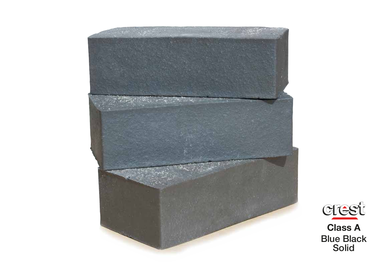